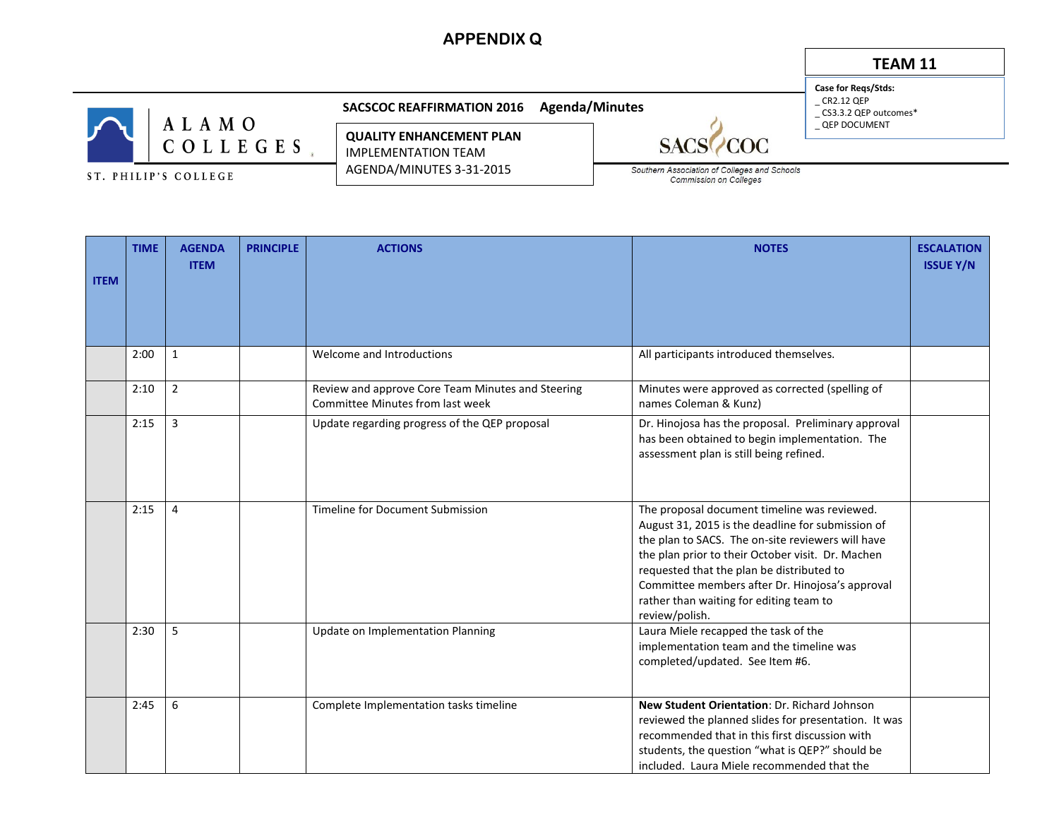## **APPENDIX Q**

## **TEAM 11**

**Case for Reqs/Stds:**  $\_$  CR2.12 QEP

\_ CS3.3.2 QEP outcomes\* \_ QEP DOCUMENT

ALAMO  $C$  O L L E G E S  $_{*}$ 

ST. PHILIP'S COLLEGE

**SACSCOC REAFFIRMATION 2016 Agenda/Minutes** 

**QUALITY ENHANCEMENT PLAN** IMPLEMENTATION TEAM AGENDA/MINUTES 3-31-2015

**SAC** OC Southern Association of Colleges and Schools Commission on Colleges

| <b>ITEM</b> | <b>TIME</b> | <b>AGENDA</b><br><b>ITEM</b> | <b>PRINCIPLE</b> | <b>ACTIONS</b>                                                                        | <b>NOTES</b>                                                                                                                                                                                                                                                                                                                                                             | <b>ESCALATION</b><br><b>ISSUE Y/N</b> |
|-------------|-------------|------------------------------|------------------|---------------------------------------------------------------------------------------|--------------------------------------------------------------------------------------------------------------------------------------------------------------------------------------------------------------------------------------------------------------------------------------------------------------------------------------------------------------------------|---------------------------------------|
|             | 2:00        | 1                            |                  | Welcome and Introductions                                                             | All participants introduced themselves.                                                                                                                                                                                                                                                                                                                                  |                                       |
|             | 2:10        | $\overline{2}$               |                  | Review and approve Core Team Minutes and Steering<br>Committee Minutes from last week | Minutes were approved as corrected (spelling of<br>names Coleman & Kunz)                                                                                                                                                                                                                                                                                                 |                                       |
|             | 2:15        | 3                            |                  | Update regarding progress of the QEP proposal                                         | Dr. Hinojosa has the proposal. Preliminary approval<br>has been obtained to begin implementation. The<br>assessment plan is still being refined.                                                                                                                                                                                                                         |                                       |
|             | 2:15        | 4                            |                  | Timeline for Document Submission                                                      | The proposal document timeline was reviewed.<br>August 31, 2015 is the deadline for submission of<br>the plan to SACS. The on-site reviewers will have<br>the plan prior to their October visit. Dr. Machen<br>requested that the plan be distributed to<br>Committee members after Dr. Hinojosa's approval<br>rather than waiting for editing team to<br>review/polish. |                                       |
|             | 2:30        | 5                            |                  | Update on Implementation Planning                                                     | Laura Miele recapped the task of the<br>implementation team and the timeline was<br>completed/updated. See Item #6.                                                                                                                                                                                                                                                      |                                       |
|             | 2:45        | 6                            |                  | Complete Implementation tasks timeline                                                | New Student Orientation: Dr. Richard Johnson<br>reviewed the planned slides for presentation. It was<br>recommended that in this first discussion with<br>students, the question "what is QEP?" should be<br>included. Laura Miele recommended that the                                                                                                                  |                                       |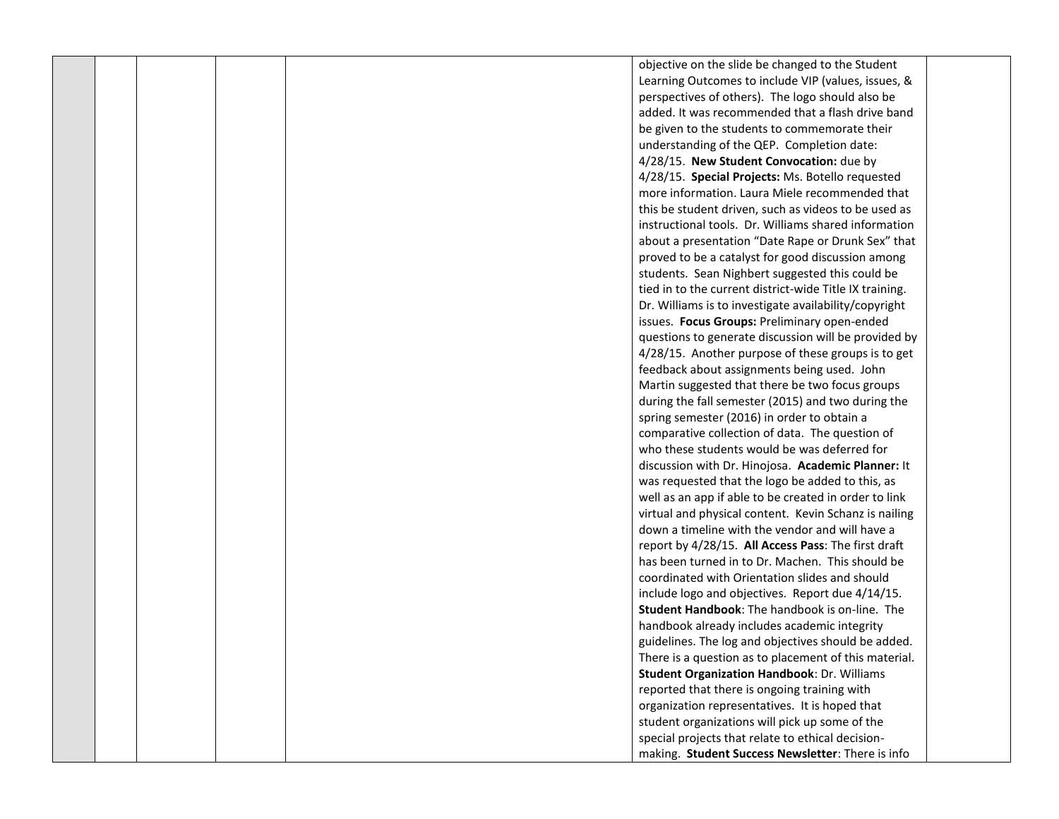|  |  |  | objective on the slide be changed to the Student        |  |
|--|--|--|---------------------------------------------------------|--|
|  |  |  | Learning Outcomes to include VIP (values, issues, &     |  |
|  |  |  | perspectives of others). The logo should also be        |  |
|  |  |  | added. It was recommended that a flash drive band       |  |
|  |  |  | be given to the students to commemorate their           |  |
|  |  |  | understanding of the QEP. Completion date:              |  |
|  |  |  | 4/28/15. New Student Convocation: due by                |  |
|  |  |  | 4/28/15. Special Projects: Ms. Botello requested        |  |
|  |  |  | more information. Laura Miele recommended that          |  |
|  |  |  | this be student driven, such as videos to be used as    |  |
|  |  |  | instructional tools. Dr. Williams shared information    |  |
|  |  |  | about a presentation "Date Rape or Drunk Sex" that      |  |
|  |  |  | proved to be a catalyst for good discussion among       |  |
|  |  |  | students. Sean Nighbert suggested this could be         |  |
|  |  |  | tied in to the current district-wide Title IX training. |  |
|  |  |  | Dr. Williams is to investigate availability/copyright   |  |
|  |  |  | issues. Focus Groups: Preliminary open-ended            |  |
|  |  |  | questions to generate discussion will be provided by    |  |
|  |  |  | 4/28/15. Another purpose of these groups is to get      |  |
|  |  |  | feedback about assignments being used. John             |  |
|  |  |  | Martin suggested that there be two focus groups         |  |
|  |  |  | during the fall semester (2015) and two during the      |  |
|  |  |  | spring semester (2016) in order to obtain a             |  |
|  |  |  | comparative collection of data. The question of         |  |
|  |  |  | who these students would be was deferred for            |  |
|  |  |  | discussion with Dr. Hinojosa. Academic Planner: It      |  |
|  |  |  | was requested that the logo be added to this, as        |  |
|  |  |  | well as an app if able to be created in order to link   |  |
|  |  |  | virtual and physical content. Kevin Schanz is nailing   |  |
|  |  |  | down a timeline with the vendor and will have a         |  |
|  |  |  | report by 4/28/15. All Access Pass: The first draft     |  |
|  |  |  | has been turned in to Dr. Machen. This should be        |  |
|  |  |  | coordinated with Orientation slides and should          |  |
|  |  |  | include logo and objectives. Report due 4/14/15.        |  |
|  |  |  | Student Handbook: The handbook is on-line. The          |  |
|  |  |  | handbook already includes academic integrity            |  |
|  |  |  | guidelines. The log and objectives should be added.     |  |
|  |  |  | There is a question as to placement of this material.   |  |
|  |  |  | <b>Student Organization Handbook: Dr. Williams</b>      |  |
|  |  |  | reported that there is ongoing training with            |  |
|  |  |  | organization representatives. It is hoped that          |  |
|  |  |  | student organizations will pick up some of the          |  |
|  |  |  | special projects that relate to ethical decision-       |  |
|  |  |  | making. Student Success Newsletter: There is info       |  |
|  |  |  |                                                         |  |